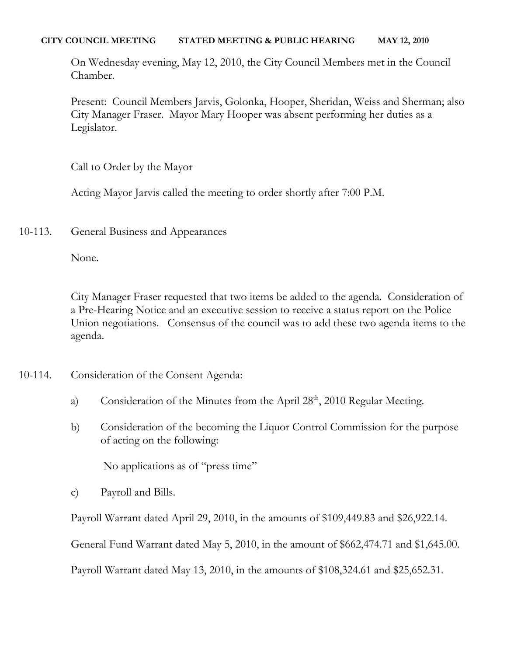#### **CITY COUNCIL MEETING STATED MEETING & PUBLIC HEARING MAY 12, 2010**

On Wednesday evening, May 12, 2010, the City Council Members met in the Council Chamber.

Present: Council Members Jarvis, Golonka, Hooper, Sheridan, Weiss and Sherman; also City Manager Fraser. Mayor Mary Hooper was absent performing her duties as a Legislator.

Call to Order by the Mayor

Acting Mayor Jarvis called the meeting to order shortly after 7:00 P.M.

10-113. General Business and Appearances

None.

City Manager Fraser requested that two items be added to the agenda. Consideration of a Pre-Hearing Notice and an executive session to receive a status report on the Police Union negotiations. Consensus of the council was to add these two agenda items to the agenda.

- 10-114. Consideration of the Consent Agenda:
	- a) Consideration of the Minutes from the April 28<sup>th</sup>, 2010 Regular Meeting.
	- b) Consideration of the becoming the Liquor Control Commission for the purpose of acting on the following:

No applications as of "press time"

c) Payroll and Bills.

Payroll Warrant dated April 29, 2010, in the amounts of \$109,449.83 and \$26,922.14.

General Fund Warrant dated May 5, 2010, in the amount of \$662,474.71 and \$1,645.00.

Payroll Warrant dated May 13, 2010, in the amounts of \$108,324.61 and \$25,652.31.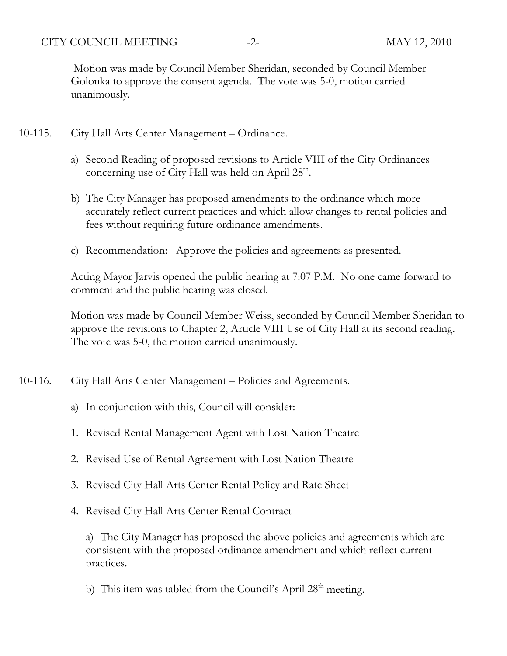CITY COUNCIL MEETING -2- MAY 12, 2010

Motion was made by Council Member Sheridan, seconded by Council Member Golonka to approve the consent agenda. The vote was 5-0, motion carried unanimously.

- 10-115. City Hall Arts Center Management Ordinance.
	- a) Second Reading of proposed revisions to Article VIII of the City Ordinances concerning use of City Hall was held on April 28<sup>th</sup>.
	- b) The City Manager has proposed amendments to the ordinance which more accurately reflect current practices and which allow changes to rental policies and fees without requiring future ordinance amendments.
	- c) Recommendation: Approve the policies and agreements as presented.

Acting Mayor Jarvis opened the public hearing at 7:07 P.M. No one came forward to comment and the public hearing was closed.

Motion was made by Council Member Weiss, seconded by Council Member Sheridan to approve the revisions to Chapter 2, Article VIII Use of City Hall at its second reading. The vote was 5-0, the motion carried unanimously.

- 10-116. City Hall Arts Center Management Policies and Agreements.
	- a) In conjunction with this, Council will consider:
	- 1. Revised Rental Management Agent with Lost Nation Theatre
	- 2. Revised Use of Rental Agreement with Lost Nation Theatre
	- 3. Revised City Hall Arts Center Rental Policy and Rate Sheet
	- 4. Revised City Hall Arts Center Rental Contract

a) The City Manager has proposed the above policies and agreements which are consistent with the proposed ordinance amendment and which reflect current practices.

b) This item was tabled from the Council's April 28<sup>th</sup> meeting.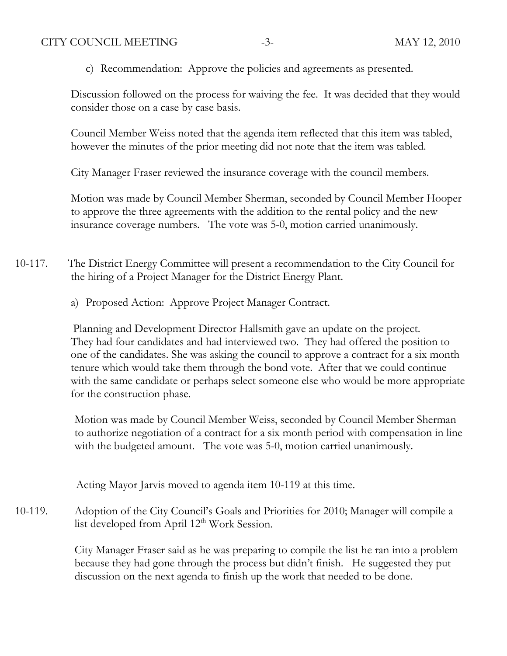c) Recommendation: Approve the policies and agreements as presented.

Discussion followed on the process for waiving the fee. It was decided that they would consider those on a case by case basis.

Council Member Weiss noted that the agenda item reflected that this item was tabled, however the minutes of the prior meeting did not note that the item was tabled.

City Manager Fraser reviewed the insurance coverage with the council members.

Motion was made by Council Member Sherman, seconded by Council Member Hooper to approve the three agreements with the addition to the rental policy and the new insurance coverage numbers. The vote was 5-0, motion carried unanimously.

- 10-117. The District Energy Committee will present a recommendation to the City Council for the hiring of a Project Manager for the District Energy Plant.
	- a) Proposed Action: Approve Project Manager Contract.

 Planning and Development Director Hallsmith gave an update on the project. They had four candidates and had interviewed two. They had offered the position to one of the candidates. She was asking the council to approve a contract for a six month tenure which would take them through the bond vote. After that we could continue with the same candidate or perhaps select someone else who would be more appropriate for the construction phase.

Motion was made by Council Member Weiss, seconded by Council Member Sherman to authorize negotiation of a contract for a six month period with compensation in line with the budgeted amount. The vote was 5-0, motion carried unanimously.

Acting Mayor Jarvis moved to agenda item 10-119 at this time.

10-119. Adoption of the City Council's Goals and Priorities for 2010; Manager will compile a list developed from April 12<sup>th</sup> Work Session.

> City Manager Fraser said as he was preparing to compile the list he ran into a problem because they had gone through the process but didn't finish. He suggested they put discussion on the next agenda to finish up the work that needed to be done.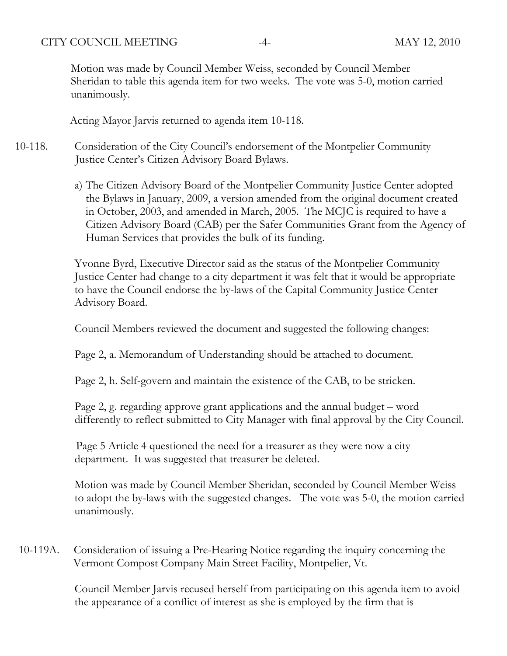CITY COUNCIL MEETING -4- MAY 12, 2010

Motion was made by Council Member Weiss, seconded by Council Member Sheridan to table this agenda item for two weeks. The vote was 5-0, motion carried unanimously.

Acting Mayor Jarvis returned to agenda item 10-118.

- 10-118. Consideration of the City Council's endorsement of the Montpelier Community Justice Center's Citizen Advisory Board Bylaws.
	- a) The Citizen Advisory Board of the Montpelier Community Justice Center adopted the Bylaws in January, 2009, a version amended from the original document created in October, 2003, and amended in March, 2005. The MCJC is required to have a Citizen Advisory Board (CAB) per the Safer Communities Grant from the Agency of Human Services that provides the bulk of its funding.

Yvonne Byrd, Executive Director said as the status of the Montpelier Community Justice Center had change to a city department it was felt that it would be appropriate to have the Council endorse the by-laws of the Capital Community Justice Center Advisory Board.

Council Members reviewed the document and suggested the following changes:

Page 2, a. Memorandum of Understanding should be attached to document.

Page 2, h. Self-govern and maintain the existence of the CAB, to be stricken.

Page 2, g. regarding approve grant applications and the annual budget – word differently to reflect submitted to City Manager with final approval by the City Council.

 Page 5 Article 4 questioned the need for a treasurer as they were now a city department. It was suggested that treasurer be deleted.

Motion was made by Council Member Sheridan, seconded by Council Member Weiss to adopt the by-laws with the suggested changes. The vote was 5-0, the motion carried unanimously.

10-119A. Consideration of issuing a Pre-Hearing Notice regarding the inquiry concerning the Vermont Compost Company Main Street Facility, Montpelier, Vt.

> Council Member Jarvis recused herself from participating on this agenda item to avoid the appearance of a conflict of interest as she is employed by the firm that is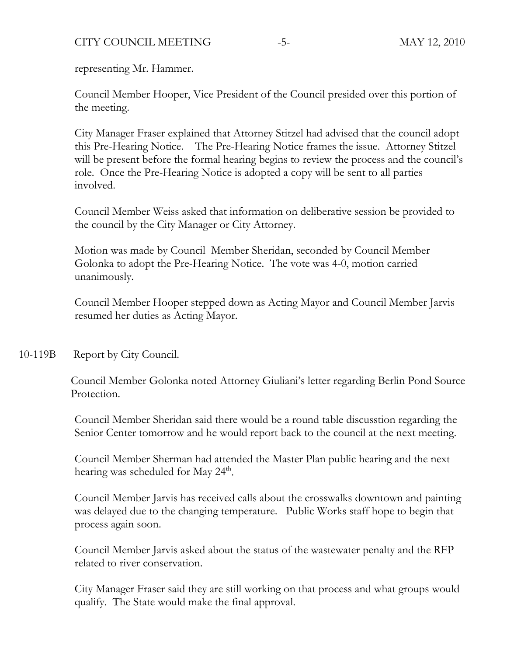# CITY COUNCIL MEETING -5- MAY 12, 2010

representing Mr. Hammer.

Council Member Hooper, Vice President of the Council presided over this portion of the meeting.

City Manager Fraser explained that Attorney Stitzel had advised that the council adopt this Pre-Hearing Notice. The Pre-Hearing Notice frames the issue. Attorney Stitzel will be present before the formal hearing begins to review the process and the council's role. Once the Pre-Hearing Notice is adopted a copy will be sent to all parties involved.

Council Member Weiss asked that information on deliberative session be provided to the council by the City Manager or City Attorney.

Motion was made by Council Member Sheridan, seconded by Council Member Golonka to adopt the Pre-Hearing Notice. The vote was 4-0, motion carried unanimously.

Council Member Hooper stepped down as Acting Mayor and Council Member Jarvis resumed her duties as Acting Mayor.

10-119B Report by City Council.

Council Member Golonka noted Attorney Giuliani's letter regarding Berlin Pond Source Protection.

Council Member Sheridan said there would be a round table discusstion regarding the Senior Center tomorrow and he would report back to the council at the next meeting.

Council Member Sherman had attended the Master Plan public hearing and the next hearing was scheduled for May  $24<sup>th</sup>$ .

Council Member Jarvis has received calls about the crosswalks downtown and painting was delayed due to the changing temperature. Public Works staff hope to begin that process again soon.

Council Member Jarvis asked about the status of the wastewater penalty and the RFP related to river conservation.

City Manager Fraser said they are still working on that process and what groups would qualify. The State would make the final approval.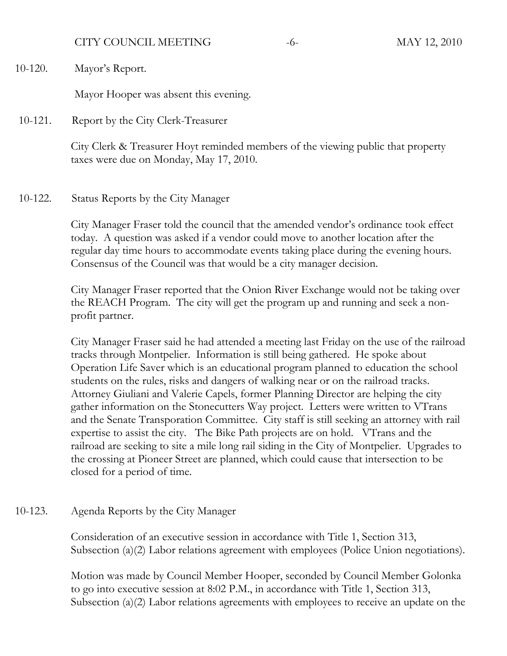### CITY COUNCIL MEETING -6- MAY 12, 2010

10-120. Mayor's Report.

Mayor Hooper was absent this evening.

10-121. Report by the City Clerk-Treasurer

City Clerk & Treasurer Hoyt reminded members of the viewing public that property taxes were due on Monday, May 17, 2010.

### 10-122. Status Reports by the City Manager

City Manager Fraser told the council that the amended vendor's ordinance took effect today. A question was asked if a vendor could move to another location after the regular day time hours to accommodate events taking place during the evening hours. Consensus of the Council was that would be a city manager decision.

City Manager Fraser reported that the Onion River Exchange would not be taking over the REACH Program. The city will get the program up and running and seek a nonprofit partner.

City Manager Fraser said he had attended a meeting last Friday on the use of the railroad tracks through Montpelier. Information is still being gathered. He spoke about Operation Life Saver which is an educational program planned to education the school students on the rules, risks and dangers of walking near or on the railroad tracks. Attorney Giuliani and Valerie Capels, former Planning Director are helping the city gather information on the Stonecutters Way project. Letters were written to VTrans and the Senate Transporation Committee. City staff is still seeking an attorney with rail expertise to assist the city. The Bike Path projects are on hold. VTrans and the railroad are seeking to site a mile long rail siding in the City of Montpelier. Upgrades to the crossing at Pioneer Street are planned, which could cause that intersection to be closed for a period of time.

### 10-123. Agenda Reports by the City Manager

Consideration of an executive session in accordance with Title 1, Section 313, Subsection (a)(2) Labor relations agreement with employees (Police Union negotiations).

Motion was made by Council Member Hooper, seconded by Council Member Golonka to go into executive session at 8:02 P.M., in accordance with Title 1, Section 313, Subsection (a)(2) Labor relations agreements with employees to receive an update on the